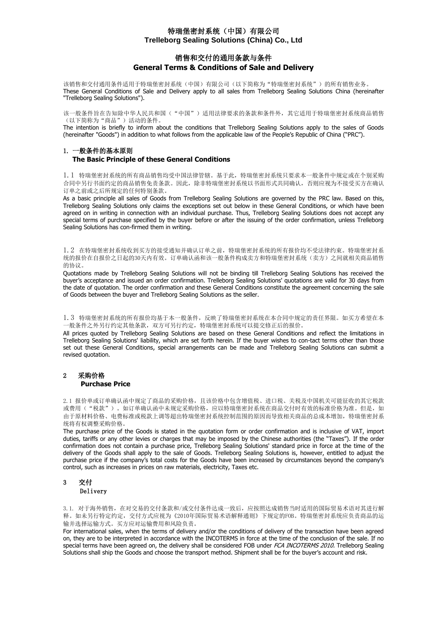## 销售和交付的通用条款与条件 **General Terms & Conditions of Sale and Delivery**

该销售和交付通用条件适用于特瑞堡密封系统(中国)有限公司(以下简称为"特瑞堡密封系统")的所有销售业务。 These General Conditions of Sale and Delivery apply to all sales from Trelleborg Sealing Solutions China (hereinafter "Trelleborg Sealing Solutions").

该一般条件旨在告知除中华人民共和国("中国")适用法律要求的条款和条件外,其它适用于特瑞堡密封系统商品销售 。 "众众日日正日和冰日门久汉六十<br>(以下简称为"商品")活动的条件。

The intention is briefly to inform about the conditions that Trelleborg Sealing Solutions apply to the sales of Goods (hereinafter "Goods") in addition to what follows from the applicable law of the People's Republic of China ("PRC").

### 1. 一般条件的基本原则 **The Basic Principle of these General Conditions**

1.1 特瑞堡密封系统的所有商品销售均受中国法律管辖。基于此,特瑞堡密封系统只要求本一般条件中规定或在个别采购 合同中另行书面约定的商品销售免责条款。因此,除非特瑞堡密封系统以书面形式共同确认,否则应视为不接受买方在确认 订单之前或之后所规定的任何特别条款。

As a basic principle all sales of Goods from Trelleborg Sealing Solutions are governed by the PRC law. Based on this, Trelleborg Sealing Solutions only claims the exceptions set out below in these General Conditions, or which have been agreed on in writing in connection with an individual purchase. Thus, Trelleborg Sealing Solutions does not accept any special terms of purchase specified by the buyer before or after the issuing of the order confirmation, unless Trelleborg Sealing Solutions has con-firmed them in writing.

1.2 在特瑞堡密封系统收到买方的接受通知并确认订单之前,特瑞堡密封系统的所有报价均不受法律约束。特瑞堡密封系 统的报价在自报价之日起的30天内有效。订单确认函和该一般条件构成卖方和特瑞堡密封系统(卖方)之间就相关商品销售 的协议。

Quotations made by Trelleborg Sealing Solutions will not be binding till Trelleborg Sealing Solutions has received the buyer's acceptance and issued an order confirmation. Trelleborg Sealing Solutions' quotations are valid for 30 days from the date of quotation. The order confirmation and these General Conditions constitute the agreement concerning the sale of Goods between the buyer and Trelleborg Sealing Solutions as the seller.

1.3 特瑞堡密封系统的所有报价均基于本一般条件,反映了特瑞堡密封系统在本合同中规定的责任界限。如买方希望在本 一般条件之外另行约定其他条款,双方可另行约定,特瑞堡密封系统可以提交修正后的报价。

All prices quoted by Trelleborg Sealing Solutions are based on these General Conditions and reflect the limitations in Trelleborg Sealing Solutions' liability, which are set forth herein. If the buyer wishes to con-tact terms other than those set out these General Conditions, special arrangements can be made and Trelleborg Sealing Solutions can submit a revised quotation.

### 2 采购价格  **Purchase Price**

2.1 报价单或订单确认函中规定了商品的采购价格,且该价格中包含增值税、进口税、关税及中国机关可能征收的其它税款 或费用("税款")。如订单确认函中未规定采购价格,应以特瑞堡密封系统在商品交付时有效的标准价格为准。但是,如 由于原材料价格、电费标准或税款上调等超出特瑞堡密封系统控制范围的原因而导致相关商品的总成本增加,特瑞堡密封系 统将有权调整采购价格。

The purchase price of the Goods is stated in the quotation form or order confirmation and is inclusive of VAT, import duties, tariffs or any other levies or charges that may be imposed by the Chinese authorities (the "Taxes"). If the order confirmation does not contain a purchase price, Trelleborg Sealing Solutions' standard price in force at the time of the delivery of the Goods shall apply to the sale of Goods. Trelleborg Sealing Solutions is, however, entitled to adjust the purchase price if the company's total costs for the Goods have been increased by circumstances beyond the company's control, such as increases in prices on raw materials, electricity, Taxes etc.

# 3 交付

Delivery

3.1. 对于海外销售,在对交易的交付条款和/或交付条件达成一致后,应按照达成销售当时适用的国际贸易术语对其进行解 释。如未另行特定约定,交付方式应视为《2010年国际贸易术语解释通则》下规定的FOB。特瑞堡密封系统应负责商品的运 输并选择运输方式。买方应对运输费用和风险负责。

For international sales, when the terms of delivery and/or the conditions of delivery of the transaction have been agreed on, they are to be interpreted in accordance with the INCOTERMS in force at the time of the conclusion of the sale. If no special terms have been agreed on, the delivery shall be considered FOB under FCA INCOTERMS 2010. Trelleborg Sealing Solutions shall ship the Goods and choose the transport method. Shipment shall be for the buyer's account and risk.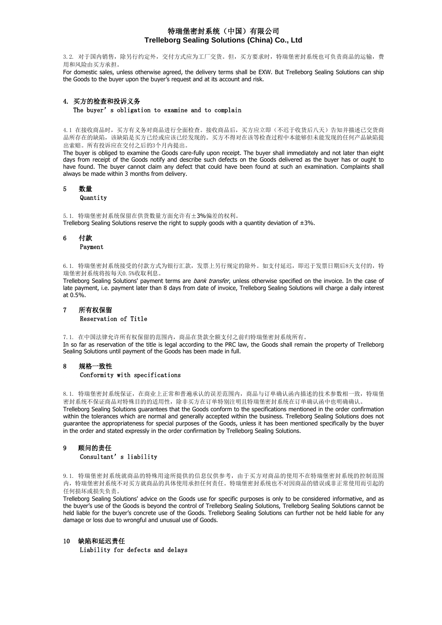3.2. 对于国内销售,除另行约定外,交付方式应为工厂交货。但,买方要求时,特瑞堡密封系统也可负责商品的运输,费 用和风险由买方承担。

For domestic sales, unless otherwise agreed, the delivery terms shall be EXW. But Trelleborg Sealing Solutions can ship the Goods to the buyer upon the buyer's request and at its account and risk.

### 4. 买方的检查和投诉义务 The buyer's obligation to examine and to complain

4.1 在接收商品时,买方有义务对商品进行全面检查。接收商品后,买方应立即(不迟于收货后八天)告知并描述已交货商 品所存在的缺陷,该缺陷是买方已经或应该已经发现的。买方不得对在该等检查过程中本能够但未能发现的任何产品缺陷提 出索赔。所有投诉应在交付之后的3个月内提出。

The buyer is obliged to examine the Goods care-fully upon receipt. The buyer shall immediately and not later than eight days from receipt of the Goods notify and describe such defects on the Goods delivered as the buyer has or ought to have found. The buyer cannot claim any defect that could have been found at such an examination. Complaints shall always be made within 3 months from delivery.

### 5 数量 **Quantity**

5.1. 特瑞堡密封系统保留在供货数量方面允许有±3%偏差的权利。 Trelleborg Sealing Solutions reserve the right to supply goods with a quantity deviation of  $\pm 3\%$ .

# 6 付款

### Payment

6.1. 特瑞堡密封系统接受的付款方式为银行汇款,发票上另行规定的除外。如支付延迟,即迟于发票日期后8天支付的,特 瑞堡密封系统将按每天0.5%收取利息。

Trelleborg Sealing Solutions' payment terms are bank transfer, unless otherwise specified on the invoice. In the case of late payment, i.e. payment later than 8 days from date of invoice, Trelleborg Sealing Solutions will charge a daily interest at 0.5%.

## 7 所有权保留 Reservation of Title

7.1. 在中国法律允许所有权保留的范围内,商品在货款全额支付之前归特瑞堡密封系统所有。

In so far as reservation of the title is legal according to the PRC law, the Goods shall remain the property of Trelleborg Sealing Solutions until payment of the Goods has been made in full.

## 8 规格一致性 Conformity with specifications

8.1. 特瑞堡密封系统保证,在商业上正常和普遍承认的误差范围内,商品与订单确认函内描述的技术参数相一致,特瑞堡 密封系统不保证商品对特殊目的的适用性,除非买方在订单特别注明且特瑞堡密封系统在订单确认函中也明确确认。 Trelleborg Sealing Solutions guarantees that the Goods conform to the specifications mentioned in the order confirmation within the tolerances which are normal and generally accepted within the business. Trelleborg Sealing Solutions does not guarantee the appropriateness for special purposes of the Goods, unless it has been mentioned specifically by the buyer in the order and stated expressly in the order confirmation by Trelleborg Sealing Solutions.

# 9 顾问的责任

### Consultant's liability

9.1. 特瑞堡密封系统就商品的特殊用途所提供的信息仅供参考,由于买方对商品的使用不在特瑞堡密封系统的控制范围 内,特瑞堡密封系统不对买方就商品的具体使用承担任何责任。特瑞堡密封系统也不对因商品的错误或非正常使用而引起的 任何损坏或损失负责。

Trelleborg Sealing Solutions' advice on the Goods use for specific purposes is only to be considered informative, and as the buyer's use of the Goods is beyond the control of Trelleborg Sealing Solutions, Trelleborg Sealing Solutions cannot be held liable for the buyer's concrete use of the Goods. Trelleborg Sealing Solutions can further not be held liable for any damage or loss due to wrongful and unusual use of Goods.

### 10 缺陷和延迟责任

Liability for defects and delays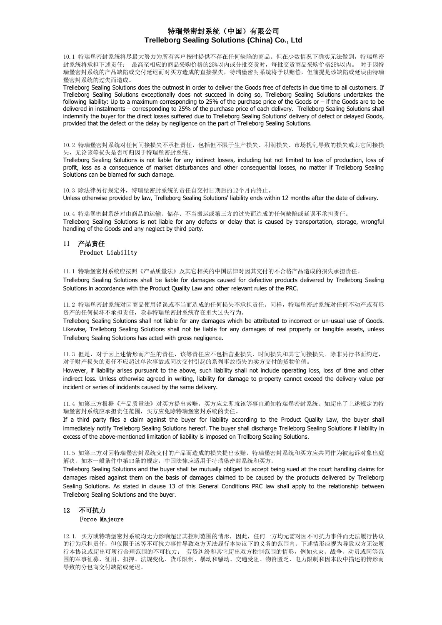10.1 特瑞堡密封系统将尽最大努力为所有客户按时提供不存在任何缺陷的商品。但在少数情况下确实无法做到,特瑞堡密 封系统将承担下述责任: 最高至相应的商品采购价格的25%以内或分批交货时,每批交货商品采购价格25%以内。 对于因特 瑞堡密封系统的产品缺陷或交付延迟而对买方造成的直接损失,特瑞堡密封系统将予以赔偿,但前提是该缺陷或延误由特瑞 堡密封系统的过失而造成。

Trelleborg Sealing Solutions does the outmost in order to deliver the Goods free of defects in due time to all customers. If Trelleborg Sealing Solutions exceptionally does not succeed in doing so, Trelleborg Sealing Solutions undertakes the following liability: Up to a maximum corresponding to 25% of the purchase price of the Goods or – if the Goods are to be delivered in instalments – corresponding to 25% of the purchase price of each delivery. Trelleborg Sealing Solutions shall indemnify the buyer for the direct losses suffered due to Trelleborg Sealing Solutions' delivery of defect or delayed Goods, provided that the defect or the delay by negligence on the part of Trelleborg Sealing Solutions.

10.2 特瑞堡密封系统对任何间接损失不承担责任,包括但不限于生产损失、利润损失、市场扰乱导致的损失或其它间接损 失,无论该等损失是否可归因于特瑞堡密封系统。

Trelleborg Sealing Solutions is not liable for any indirect losses, including but not limited to loss of production, loss of profit, loss as a consequence of market disturbances and other consequential losses, no matter if Trelleborg Sealing Solutions can be blamed for such damage.

10.3 除法律另行规定外,特瑞堡密封系统的责任自交付日期后的12个月内终止。 Unless otherwise provided by law, Trelleborg Sealing Solutions' liability ends within 12 months after the date of delivery.

10.4 特瑞堡密封系统对由商品的运输、储存、不当搬运或第三方的过失而造成的任何缺陷或延误不承担责任。 Trelleborg Sealing Solutions is not liable for any defects or delay that is caused by transportation, storage, wrongful handling of the Goods and any neglect by third party.

### 11 产品责任 Product Liability

11.1 特瑞堡密封系统应按照《产品质量法》及其它相关的中国法律对因其交付的不合格产品造成的损失承担责任。

Trelleborg Sealing Solutions shall be liable for damages caused for defective products delivered by Trelleborg Sealing Solutions in accordance with the Product Quality Law and other relevant rules of the PRC.

11.2 特瑞堡密封系统对因商品使用错误或不当而造成的任何损失不承担责任。同样,特瑞堡密封系统对任何不动产或有形 资产的任何损坏不承担责任,除非特瑞堡密封系统存在重大过失行为。

Trelleborg Sealing Solutions shall not liable for any damages which be attributed to incorrect or un-usual use of Goods. Likewise, Trelleborg Sealing Solutions shall not be liable for any damages of real property or tangible assets, unless Trelleborg Sealing Solutions has acted with gross negligence.

11.3 但是,对于因上述情形而产生的责任,该等责任应不包括营业损失、时间损失和其它间接损失。除非另行书面约定, 对于财产损失的责任不应超过单次事故或同次交付引起的系列事故损失的卖方交付的货物价值。

However, if liability arises pursuant to the above, such liability shall not include operating loss, loss of time and other indirect loss. Unless otherwise agreed in writing, liability for damage to property cannot exceed the delivery value per incident or series of incidents caused by the same delivery.

11.4 如第三方根据《产品质量法》对买方提出索赔,买方应立即就该等事宜通知特瑞堡密封系统。如超出了上述规定的特 瑞堡密封系统应承担责任范围,买方应免除特瑞堡密封系统的责任。

If a third party files a claim against the buyer for liability according to the Product Quality Law, the buyer shall immediately notify Trelleborg Sealing Solutions hereof. The buyer shall discharge Trelleborg Sealing Solutions if liability in excess of the above-mentioned limitation of liability is imposed on Trellborg Sealing Solutions.

11.5 如第三方对因特瑞堡密封系统交付的产品而造成的损失提出索赔,特瑞堡密封系统和买方应共同作为被起诉对象出庭 解决。如本一般条件中第13条的规定,中国法律应适用于特瑞堡密封系统和买方。

Trelleborg Sealing Solutions and the buyer shall be mutually obliged to accept being sued at the court handling claims for damages raised against them on the basis of damages claimed to be caused by the products delivered by Trelleborg Sealing Solutions. As stated in clause 13 of this General Conditions PRC law shall apply to the relationship between Trelleborg Sealing Solutions and the buyer.

### 12 不可抗力 Force Majeure

12.1. 买方或特瑞堡密封系统均无力影响超出其控制范围的情形,因此,任何一方均无需对因不可抗力事件而无法履行协议 的行为承担责任,但仅限于该等不可抗力事件导致双方无法履行本协议下的义务的范围内。下述情形应视为导致双方无法履 行本协议或超出可履行合理范围的不可抗力: 劳资纠纷和其它超出双方控制范围的情形,例如火灾、战争、动员或同等范 围的军事征募、征用、扣押、法规变化、货币限制、暴动和骚动、交通受阻、物资匮乏、电力限制和因本段中描述的情形而 导致的分包商交付缺陷或延迟。